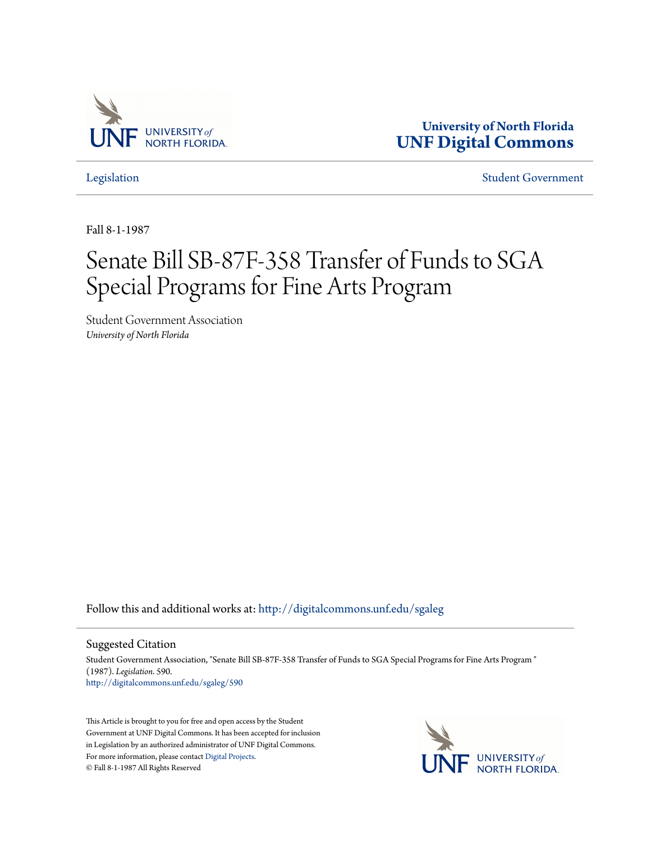

**University of North Florida [UNF Digital Commons](http://digitalcommons.unf.edu?utm_source=digitalcommons.unf.edu%2Fsgaleg%2F590&utm_medium=PDF&utm_campaign=PDFCoverPages)**

[Legislation](http://digitalcommons.unf.edu/sgaleg?utm_source=digitalcommons.unf.edu%2Fsgaleg%2F590&utm_medium=PDF&utm_campaign=PDFCoverPages) [Student Government](http://digitalcommons.unf.edu/sga?utm_source=digitalcommons.unf.edu%2Fsgaleg%2F590&utm_medium=PDF&utm_campaign=PDFCoverPages)

Fall 8-1-1987

## Senate Bill SB-87F-358 Transfer of Funds to SGA Special Programs for Fine Arts Program

Student Government Association *University of North Florida*

Follow this and additional works at: [http://digitalcommons.unf.edu/sgaleg](http://digitalcommons.unf.edu/sgaleg?utm_source=digitalcommons.unf.edu%2Fsgaleg%2F590&utm_medium=PDF&utm_campaign=PDFCoverPages)

## Suggested Citation

Student Government Association, "Senate Bill SB-87F-358 Transfer of Funds to SGA Special Programs for Fine Arts Program " (1987). *Legislation*. 590. [http://digitalcommons.unf.edu/sgaleg/590](http://digitalcommons.unf.edu/sgaleg/590?utm_source=digitalcommons.unf.edu%2Fsgaleg%2F590&utm_medium=PDF&utm_campaign=PDFCoverPages)

This Article is brought to you for free and open access by the Student Government at UNF Digital Commons. It has been accepted for inclusion in Legislation by an authorized administrator of UNF Digital Commons. For more information, please contact [Digital Projects](mailto:lib-digital@unf.edu). © Fall 8-1-1987 All Rights Reserved